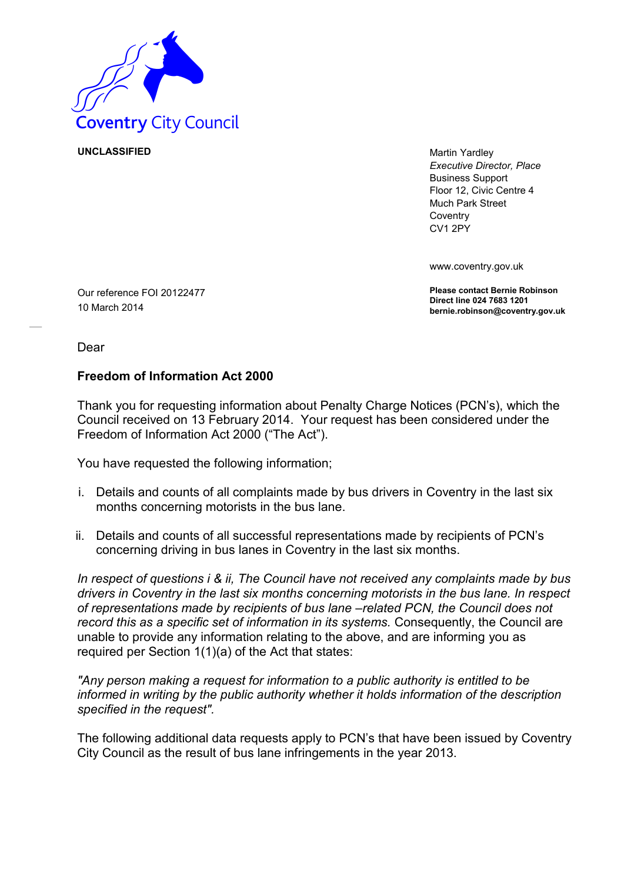

**UNCLASSIFIED** Martin Yardley

*Executive Director, Place* Business Support Floor 12, Civic Centre 4 Much Park Street **Coventry** CV1 2PY

www.coventry.gov.uk

**Please contact Bernie Robinson Direct line 024 7683 1201 bernie.robinson@coventry.gov.uk**

Our reference FOI 20122477 10 March 2014

Dear

## **Freedom of Information Act 2000**

Thank you for requesting information about Penalty Charge Notices (PCN's), which the Council received on 13 February 2014. Your request has been considered under the Freedom of Information Act 2000 ("The Act").

You have requested the following information;

- i. Details and counts of all complaints made by bus drivers in Coventry in the last six months concerning motorists in the bus lane.
- ii. Details and counts of all successful representations made by recipients of PCN's concerning driving in bus lanes in Coventry in the last six months.

*In respect of questions i & ii, The Council have not received any complaints made by bus drivers in Coventry in the last six months concerning motorists in the bus lane. In respect of representations made by recipients of bus lane –related PCN, the Council does not record this as a specific set of information in its systems.* Consequently, the Council are unable to provide any information relating to the above, and are informing you as required per Section 1(1)(a) of the Act that states:

*"Any person making a request for information to a public authority is entitled to be informed in writing by the public authority whether it holds information of the description specified in the request".* 

The following additional data requests apply to PCN's that have been issued by Coventry City Council as the result of bus lane infringements in the year 2013.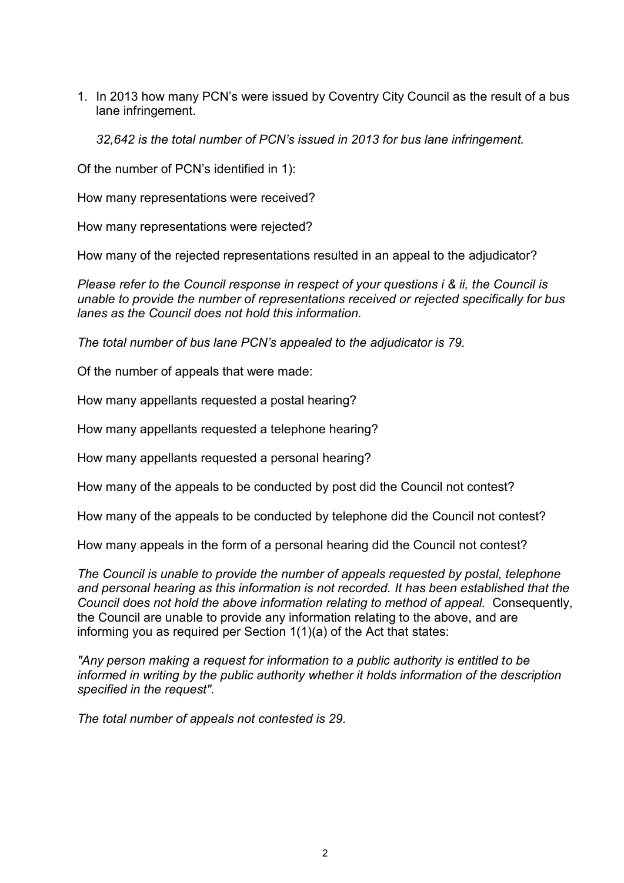1. In 2013 how many PCN's were issued by Coventry City Council as the result of a bus lane infringement.

*32,642 is the total number of PCN's issued in 2013 for bus lane infringement.* 

Of the number of PCN's identified in 1):

How many representations were received?

How many representations were rejected?

How many of the rejected representations resulted in an appeal to the adjudicator?

*Please refer to the Council response in respect of your questions i & ii, the Council is unable to provide the number of representations received or rejected specifically for bus lanes as the Council does not hold this information.* 

*The total number of bus lane PCN's appealed to the adjudicator is 79.* 

Of the number of appeals that were made:

How many appellants requested a postal hearing?

How many appellants requested a telephone hearing?

How many appellants requested a personal hearing?

How many of the appeals to be conducted by post did the Council not contest?

How many of the appeals to be conducted by telephone did the Council not contest?

How many appeals in the form of a personal hearing did the Council not contest?

*The Council is unable to provide the number of appeals requested by postal, telephone and personal hearing as this information is not recorded. It has been established that the Council does not hold the above information relating to method of appeal.* Consequently, the Council are unable to provide any information relating to the above, and are informing you as required per Section 1(1)(a) of the Act that states:

*"Any person making a request for information to a public authority is entitled to be informed in writing by the public authority whether it holds information of the description specified in the request".* 

*The total number of appeals not contested is 29.*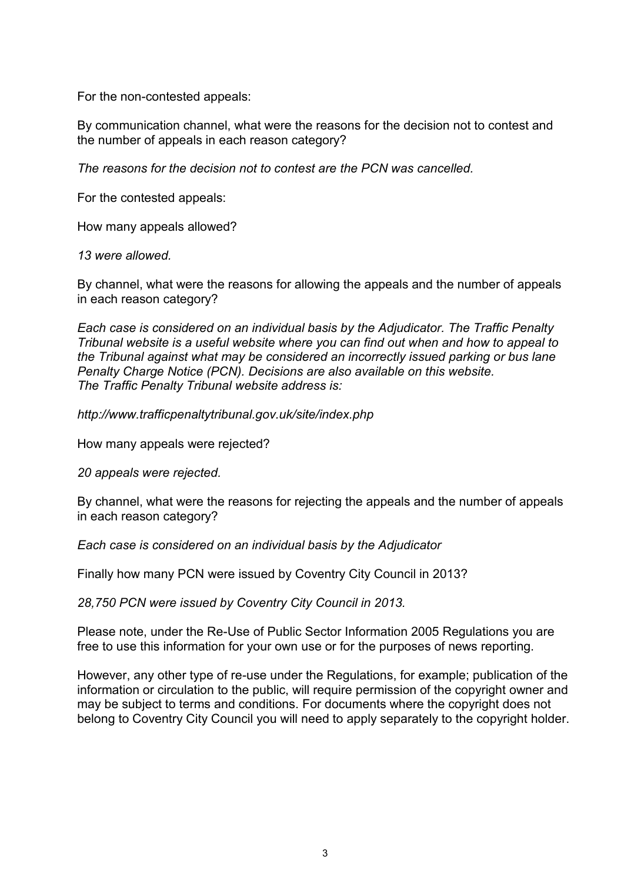For the non-contested appeals:

By communication channel, what were the reasons for the decision not to contest and the number of appeals in each reason category?

*The reasons for the decision not to contest are the PCN was cancelled.* 

For the contested appeals:

How many appeals allowed?

*13 were allowed.* 

By channel, what were the reasons for allowing the appeals and the number of appeals in each reason category?

*Each case is considered on an individual basis by the Adjudicator. The Traffic Penalty Tribunal website is a useful website where you can find out when and how to appeal to the Tribunal against what may be considered an incorrectly issued parking or bus lane Penalty Charge Notice (PCN). Decisions are also available on this website. The Traffic Penalty Tribunal website address is:* 

*http://www.trafficpenaltytribunal.gov.uk/site/index.php* 

How many appeals were rejected?

*20 appeals were rejected.* 

By channel, what were the reasons for rejecting the appeals and the number of appeals in each reason category?

*Each case is considered on an individual basis by the Adjudicator*

Finally how many PCN were issued by Coventry City Council in 2013?

*28,750 PCN were issued by Coventry City Council in 2013.*

Please note, under the Re-Use of Public Sector Information 2005 Regulations you are free to use this information for your own use or for the purposes of news reporting.

However, any other type of re-use under the Regulations, for example; publication of the information or circulation to the public, will require permission of the copyright owner and may be subject to terms and conditions. For documents where the copyright does not belong to Coventry City Council you will need to apply separately to the copyright holder.